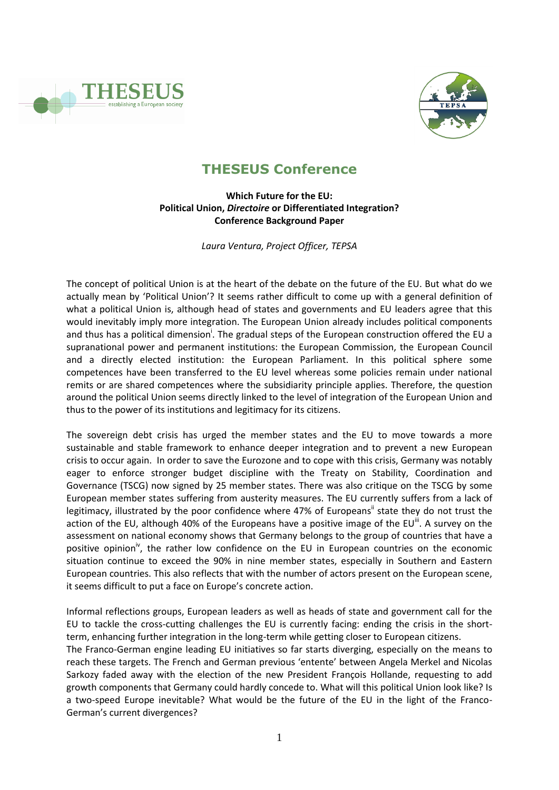



# **THESEUS Conference**

# **Which Future for the EU: Political Union,** *Directoire* **or Differentiated Integration? Conference Background Paper**

*Laura Ventura, Project Officer, TEPSA*

The concept of political Union is at the heart of the debate on the future of the EU. But what do we actually mean by 'Political Union'? It seems rather difficult to come up with a general definition of what a political Union is, although head of states and governments and EU leaders agree that this would inevitably imply more integration. The European Union already includes political components and thus has a political dimension<sup>i</sup>. The gradual steps of the European construction offered the EU a supranational power and permanent institutions: the European Commission, the European Council and a directly elected institution: the European Parliament. In this political sphere some competences have been transferred to the EU level whereas some policies remain under national remits or are shared competences where the subsidiarity principle applies. Therefore, the question around the political Union seems directly linked to the level of integration of the European Union and thus to the power of its institutions and legitimacy for its citizens.

The sovereign debt crisis has urged the member states and the EU to move towards a more sustainable and stable framework to enhance deeper integration and to prevent a new European crisis to occur again. In order to save the Eurozone and to cope with this crisis, Germany was notably eager to enforce stronger budget discipline with the Treaty on Stability, Coordination and Governance (TSCG) now signed by 25 member states. There was also critique on the TSCG by some European member states suffering from austerity measures. The EU currently suffers from a lack of legitimacy, illustrated by the poor confidence where 47% of Europeans" state they do not trust the action of the EU, although 40% of the Europeans have a positive image of the EU<sup>iii</sup>. A survey on the assessment on national economy shows that Germany belongs to the group of countries that have a positive opinion<sup>iv</sup>, the rather low confidence on the EU in European countries on the economic situation continue to exceed the 90% in nine member states, especially in Southern and Eastern European countries. This also reflects that with the number of actors present on the European scene, it seems difficult to put a face on Europe's concrete action.

Informal reflections groups, European leaders as well as heads of state and government call for the EU to tackle the cross-cutting challenges the EU is currently facing: ending the crisis in the shortterm, enhancing further integration in the long-term while getting closer to European citizens.

The Franco-German engine leading EU initiatives so far starts diverging, especially on the means to reach these targets. The French and German previous 'entente' between Angela Merkel and Nicolas Sarkozy faded away with the election of the new President François Hollande, requesting to add growth components that Germany could hardly concede to. What will this political Union look like? Is a two-speed Europe inevitable? What would be the future of the EU in the light of the Franco-German's current divergences?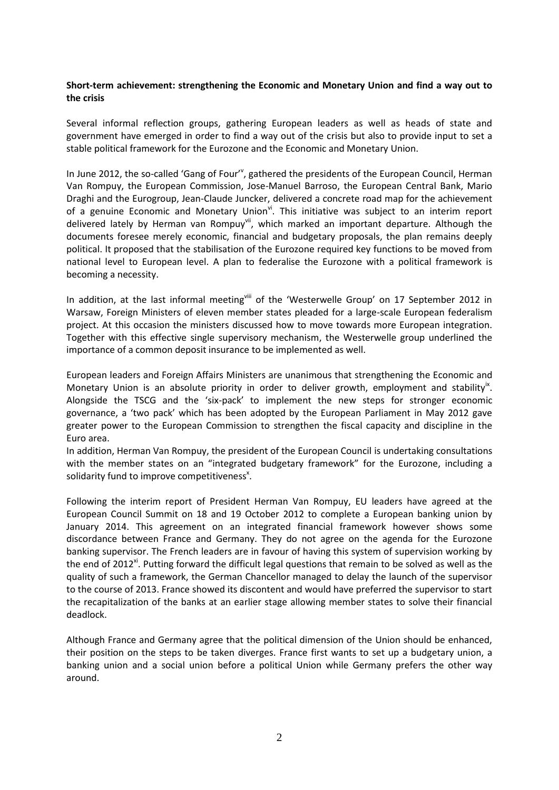## **Short-term achievement: strengthening the Economic and Monetary Union and find a way out to the crisis**

Several informal reflection groups, gathering European leaders as well as heads of state and government have emerged in order to find a way out of the crisis but also to provide input to set a stable political framework for the Eurozone and the Economic and Monetary Union.

In June 2012, the so-called 'Gang of Four'<sup>v</sup>, gathered the presidents of the European Council, Herman Van Rompuy, the European Commission, Jose-Manuel Barroso, the European Central Bank, Mario Draghi and the Eurogroup, Jean-Claude Juncker, delivered a concrete road map for the achievement of a genuine Economic and Monetary Union $\theta$ <sup>i</sup>. This initiative was subject to an interim report delivered lately by Herman van Rompuy<sup>vii</sup>, which marked an important departure. Although the documents foresee merely economic, financial and budgetary proposals, the plan remains deeply political. It proposed that the stabilisation of the Eurozone required key functions to be moved from national level to European level. A plan to federalise the Eurozone with a political framework is becoming a necessity.

In addition, at the last informal meetingvill of the 'Westerwelle Group' on 17 September 2012 in Warsaw, Foreign Ministers of eleven member states pleaded for a large-scale European federalism project. At this occasion the ministers discussed how to move towards more European integration. Together with this effective single supervisory mechanism, the Westerwelle group underlined the importance of a common deposit insurance to be implemented as well.

European leaders and Foreign Affairs Ministers are unanimous that strengthening the Economic and Monetary Union is an absolute priority in order to deliver growth, employment and stability<sup>ix</sup>. Alongside the TSCG and the 'six-pack' to implement the new steps for stronger economic governance, a 'two pack' which has been adopted by the European Parliament in May 2012 gave greater power to the European Commission to strengthen the fiscal capacity and discipline in the Euro area.

In addition, Herman Van Rompuy, the president of the European Council is undertaking consultations with the member states on an "integrated budgetary framework" for the Eurozone, including a solidarity fund to improve competitiveness<sup>x</sup>.

Following the interim report of President Herman Van Rompuy, EU leaders have agreed at the European Council Summit on 18 and 19 October 2012 to complete a European banking union by January 2014. This agreement on an integrated financial framework however shows some discordance between France and Germany. They do not agree on the agenda for the Eurozone banking supervisor. The French leaders are in favour of having this system of supervision working by the end of 2012<sup>xi</sup>. Putting forward the difficult legal questions that remain to be solved as well as the quality of such a framework, the German Chancellor managed to delay the launch of the supervisor to the course of 2013. France showed its discontent and would have preferred the supervisor to start the recapitalization of the banks at an earlier stage allowing member states to solve their financial deadlock.

Although France and Germany agree that the political dimension of the Union should be enhanced, their position on the steps to be taken diverges. France first wants to set up a budgetary union, a banking union and a social union before a political Union while Germany prefers the other way around.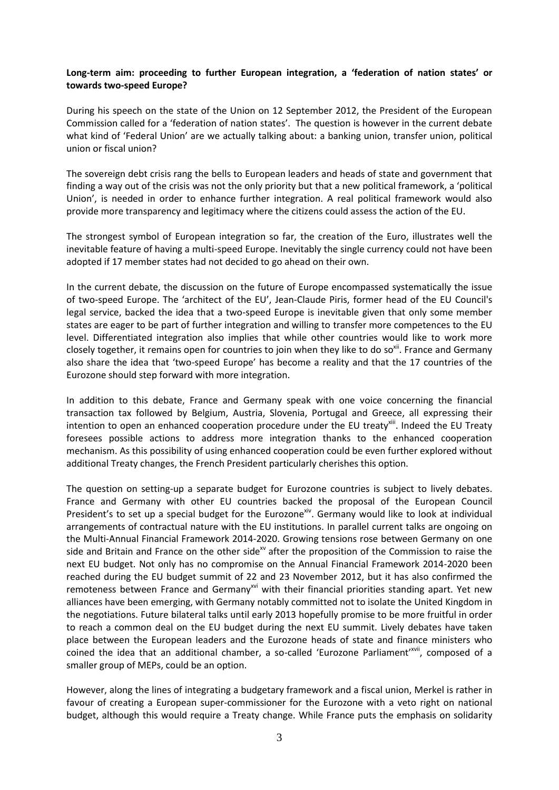## **Long-term aim: proceeding to further European integration, a 'federation of nation states' or towards two-speed Europe?**

During his speech on the state of the Union on 12 September 2012, the President of the European Commission called for a 'federation of nation states'. The question is however in the current debate what kind of 'Federal Union' are we actually talking about: a banking union, transfer union, political union or fiscal union?

The sovereign debt crisis rang the bells to European leaders and heads of state and government that finding a way out of the crisis was not the only priority but that a new political framework, a 'political Union', is needed in order to enhance further integration. A real political framework would also provide more transparency and legitimacy where the citizens could assess the action of the EU.

The strongest symbol of European integration so far, the creation of the Euro, illustrates well the inevitable feature of having a multi-speed Europe. Inevitably the single currency could not have been adopted if 17 member states had not decided to go ahead on their own.

In the current debate, the discussion on the future of Europe encompassed systematically the issue of two-speed Europe. The 'architect of the EU', Jean-Claude Piris, former head of the EU Council's legal service, backed the idea that a two-speed Europe is inevitable given that only some member states are eager to be part of further integration and willing to transfer more competences to the EU level. Differentiated integration also implies that while other countries would like to work more closely together, it remains open for countries to join when they like to do so<sup>xii</sup>. France and Germany also share the idea that 'two-speed Europe' has become a reality and that the 17 countries of the Eurozone should step forward with more integration.

In addition to this debate, France and Germany speak with one voice concerning the financial transaction tax followed by Belgium, Austria, Slovenia, Portugal and Greece, all expressing their intention to open an [enhanced cooperation](http://europa.eu/legislation_summaries/glossary/enhanced_cooperation_en.htm) procedure under the EU treaty<sup>xiii</sup>. Indeed the EU Treaty foresees possible actions to address more integration thanks to the enhanced cooperation mechanism. As this possibility of using enhanced cooperation could be even further explored without additional Treaty changes, the French President particularly cherishes this option.

The question on setting-up a separate budget for Eurozone countries is subject to lively debates. France and Germany with other EU countries backed the proposal of the European Council President's to set up a special budget for the Eurozone<sup>xiv</sup>. Germany would like to look at individual arrangements of contractual nature with the EU institutions. In parallel current talks are ongoing on the Multi-Annual Financial Framework 2014-2020. Growing tensions rose between Germany on one side and Britain and France on the other side<sup>xv</sup> after the proposition of the Commission to raise the next EU budget. Not only has no compromise on the Annual Financial Framework 2014-2020 been reached during the EU budget summit of 22 and 23 November 2012, but it has also confirmed the remoteness between France and Germany<sup>xvi</sup> with their financial priorities standing apart. Yet new alliances have been emerging, with Germany notably committed not to isolate the United Kingdom in the negotiations. Future bilateral talks until early 2013 hopefully promise to be more fruitful in order to reach a common deal on the EU budget during the next EU summit. Lively debates have taken place between the European leaders and the Eurozone heads of state and finance ministers who coined the idea that an additional chamber, a so-called 'Eurozone Parliament'<sup>xvii</sup>, composed of a smaller group of MEPs, could be an option.

However, along the lines of integrating a budgetary framework and a fiscal union, Merkel is rather in favour of creating a European super-commissioner for the Eurozone with a veto right on national budget, although this would require a Treaty change. While France puts the emphasis on solidarity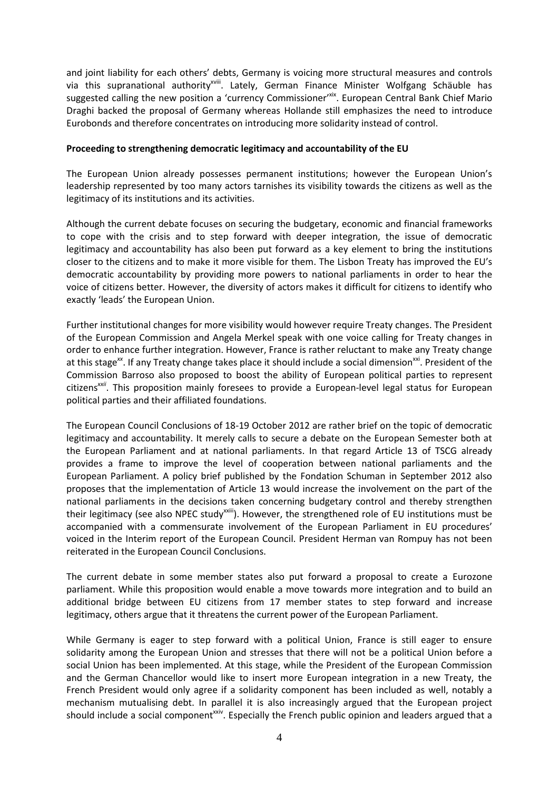and joint liability for each others' debts, Germany is voicing more structural measures and controls via this supranational authority<sup>xviii</sup>. Lately, German Finance Minister Wolfgang Schäuble has suggested calling the new position a 'currency Commissioner'<sup>xix</sup>. European Central Bank Chief Mario Draghi backed the proposal of Germany whereas Hollande still emphasizes the need to introduce Eurobonds and therefore concentrates on introducing more solidarity instead of control.

#### **Proceeding to strengthening democratic legitimacy and accountability of the EU**

The European Union already possesses permanent institutions; however the European Union's leadership represented by too many actors tarnishes its visibility towards the citizens as well as the legitimacy of its institutions and its activities.

Although the current debate focuses on securing the budgetary, economic and financial frameworks to cope with the crisis and to step forward with deeper integration, the issue of democratic legitimacy and accountability has also been put forward as a key element to bring the institutions closer to the citizens and to make it more visible for them. The Lisbon Treaty has improved the EU's democratic accountability by providing more powers to national parliaments in order to hear the voice of citizens better. However, the diversity of actors makes it difficult for citizens to identify who exactly 'leads' the European Union.

Further institutional changes for more visibility would however require Treaty changes. The President of the European Commission and Angela Merkel speak with one voice calling for Treaty changes in order to enhance further integration. However, France is rather reluctant to make any Treaty change at this stage<sup>xx</sup>. If any Treaty change takes place it should include a social dimension<sup>xxi</sup>. President of the Commission Barroso also proposed to boost the ability of European political parties to represent citizens*xxii*. This proposition mainly foresees to provide a European-level legal status for European political parties and their affiliated foundations.

The European Council Conclusions of 18-19 October 2012 are rather brief on the topic of democratic legitimacy and accountability. It merely calls to secure a debate on the European Semester both at the European Parliament and at national parliaments. In that regard Article 13 of TSCG already provides a frame to improve the level of cooperation between national parliaments and the European Parliament. A policy brief published by the Fondation Schuman in September 2012 also proposes that the implementation of Article 13 would increase the involvement on the part of the national parliaments in the decisions taken concerning budgetary control and thereby strengthen their legitimacy (see also NPEC study<sup>xxiii</sup>). However, the strengthened role of EU institutions must be accompanied with a commensurate involvement of the European Parliament in EU procedures' voiced in the Interim report of the European Council. President Herman van Rompuy has not been reiterated in the European Council Conclusions.

The current debate in some member states also put forward a proposal to create a Eurozone parliament. While this proposition would enable a move towards more integration and to build an additional bridge between EU citizens from 17 member states to step forward and increase legitimacy, others argue that it threatens the current power of the European Parliament.

While Germany is eager to step forward with a political Union, France is still eager to ensure solidarity among the European Union and stresses that there will not be a political Union before a social Union has been implemented. At this stage, while the President of the European Commission and the German Chancellor would like to insert more European integration in a new Treaty, the French President would only agree if a solidarity component has been included as well, notably a mechanism mutualising debt. In parallel it is also increasingly argued that the European project should include a social component<sup>xxiv</sup>. Especially the French public opinion and leaders argued that a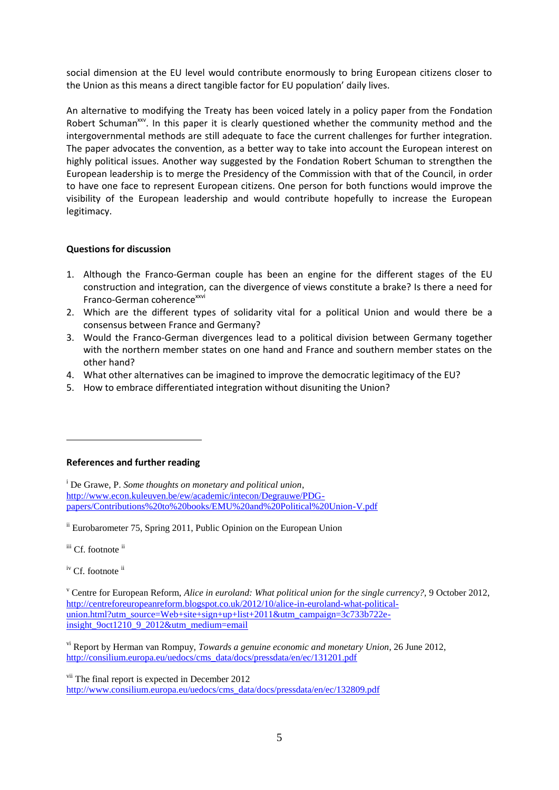social dimension at the EU level would contribute enormously to bring European citizens closer to the Union as this means a direct tangible factor for EU population' daily lives.

An alternative to modifying the Treaty has been voiced lately in a policy paper from the Fondation Robert Schuman<sup>xx</sup>. In this paper it is clearly questioned whether the community method and the intergovernmental methods are still adequate to face the current challenges for further integration. The paper advocates the convention, as a better way to take into account the European interest on highly political issues. Another way suggested by the Fondation Robert Schuman to strengthen the European leadership is to merge the Presidency of the Commission with that of the Council, in order to have one face to represent European citizens. One person for both functions would improve the visibility of the European leadership and would contribute hopefully to increase the European legitimacy.

## **Questions for discussion**

- 1. Although the Franco-German couple has been an engine for the different stages of the EU construction and integration, can the divergence of views constitute a brake? Is there a need for Franco-German coherence<sup>xxvi</sup>
- 2. Which are the different types of solidarity vital for a political Union and would there be a consensus between France and Germany?
- 3. Would the Franco-German divergences lead to a political division between Germany together with the northern member states on one hand and France and southern member states on the other hand?
- 4. What other alternatives can be imagined to improve the democratic legitimacy of the EU?
- 5. How to embrace differentiated integration without disuniting the Union?

#### **References and further reading**

<sup>i</sup> De Grawe, P. *Some thoughts on monetary and political union*, [http://www.econ.kuleuven.be/ew/academic/intecon/Degrauwe/PDG](http://www.econ.kuleuven.be/ew/academic/intecon/Degrauwe/PDG-papers/Contributions%20to%20books/EMU%20and%20Political%20Union-V.pdf)[papers/Contributions%20to%20books/EMU%20and%20Political%20Union-V.pdf](http://www.econ.kuleuven.be/ew/academic/intecon/Degrauwe/PDG-papers/Contributions%20to%20books/EMU%20and%20Political%20Union-V.pdf)

ii Eurobarometer 75, Spring 2011, Public Opinion on the European Union

iii Cf. footnote ii

1

iv Cf. footnote ii

<sup>v</sup> Centre for European Reform, *Alice in euroland: What political union for the single currency?,* 9 October 2012, [http://centreforeuropeanreform.blogspot.co.uk/2012/10/alice-in-euroland-what-political](http://centreforeuropeanreform.blogspot.co.uk/2012/10/alice-in-euroland-what-political-union.html?utm_source=Web+site+sign+up+list+2011&utm_campaign=3c733b722e-insight_9oct1210_9_2012&utm_medium=email)[union.html?utm\\_source=Web+site+sign+up+list+2011&utm\\_campaign=3c733b722e](http://centreforeuropeanreform.blogspot.co.uk/2012/10/alice-in-euroland-what-political-union.html?utm_source=Web+site+sign+up+list+2011&utm_campaign=3c733b722e-insight_9oct1210_9_2012&utm_medium=email)[insight\\_9oct1210\\_9\\_2012&utm\\_medium=email](http://centreforeuropeanreform.blogspot.co.uk/2012/10/alice-in-euroland-what-political-union.html?utm_source=Web+site+sign+up+list+2011&utm_campaign=3c733b722e-insight_9oct1210_9_2012&utm_medium=email)

vi Report by Herman van Rompuy, *Towards a genuine economic and monetary Union*, 26 June 2012, http://consilium.europa.eu/uedocs/cms\_data/docs/pressdata/en/ec/131201.pdf

vii The final report is expected in December 2012 [http://www.consilium.europa.eu/uedocs/cms\\_data/docs/pressdata/en/ec/132809.pdf](http://www.consilium.europa.eu/uedocs/cms_data/docs/pressdata/en/ec/132809.pdf)